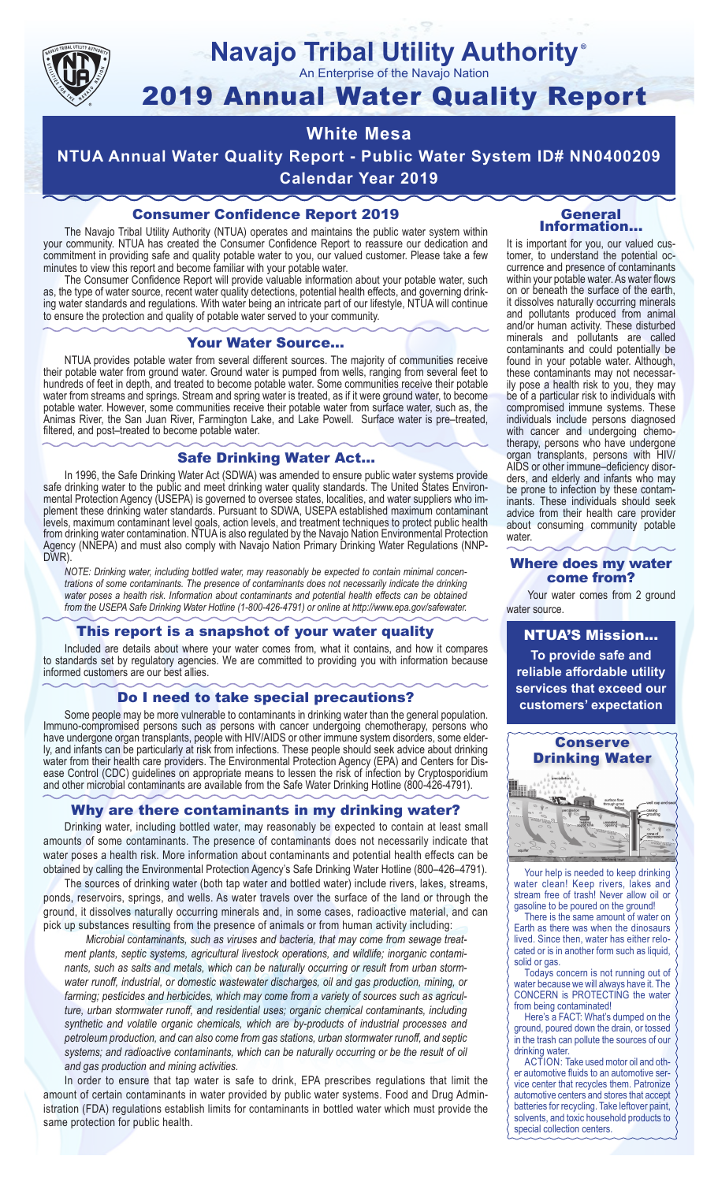

### **Navajo Tribal Utility Authority** ®

An Enterprise of the Navajo Nation

# 2019 Annual Water Quality Report

## **White Mesa**

**NTUA Annual Water Quality Report - Public Water System ID# NN0400209 Calendar Year 2019**

## Consumer Confidence Report 2019

The Navajo Tribal Utility Authority (NTUA) operates and maintains the public water system within your community. NTUA has created the Consumer Confidence Report to reassure our dedication and commitment in providing safe and quality potable water to you, our valued customer. Please take a few minutes to view this report and become familiar with your potable water.

The Consumer Confidence Report will provide valuable information about your potable water, such as, the type of water source, recent water quality detections, potential health effects, and governing drinking water standards and regulations. With water being an intricate part of our lifestyle, NTUA will continue to ensure the protection and quality of potable water served to your community.

#### Your Water Source…

NTUA provides potable water from several different sources. The majority of communities receive their potable water from ground water. Ground water is pumped from wells, ranging from several feet to hundreds of feet in depth, and treated to become potable water. Some communities receive their potable water from streams and springs. Stream and spring water is treated, as if it were ground water, to become potable water. However, some communities receive their potable water from surface water, such as, the Animas River, the San Juan River, Farmington Lake, and Lake Powell. Surface water is pre–treated, filtered, and post–treated to become potable water.

#### Safe Drinking Water Act…

In 1996, the Safe Drinking Water Act (SDWA) was amended to ensure public water systems provide safe drinking water to the public and meet drinking water quality standards. The United States Environmental Protection Agency (USEPA) is governed to oversee states, localities, and water suppliers who implement these drinking water standards. Pursuant to SDWA, USEPA established maximum contaminant levels, maximum contaminant level goals, action levels, and treatment techniques to protect public health from drinking water contamination. NTUA is also regulated by the Navajo Nation Environmental Protection Agency (NNEPA) and must also comply with Navajo Nation Primary Drinking Water Regulations (NNP-DWR)

*NOTE: Drinking water, including bottled water, may reasonably be expected to contain minimal concentrations of some contaminants. The presence of contaminants does not necessarily indicate the drinking water poses a health risk. Information about contaminants and potential health effects can be obtained from the USEPA Safe Drinking Water Hotline (1-800-426-4791) or online at http://www.epa.gov/safewater.*

#### This report is a snapshot of your water quality

Included are details about where your water comes from, what it contains, and how it compares to standards set by regulatory agencies. We are committed to providing you with information because informed customers are our best allies.

#### Do I need to take special precautions?

Some people may be more vulnerable to contaminants in drinking water than the general population. Immuno-compromised persons such as persons with cancer undergoing chemotherapy, persons who have undergone organ transplants, people with HIV/AIDS or other immune system disorders, some elderly, and infants can be particularly at risk from infections. These people should seek advice about drinking water from their health care providers. The Environmental Protection Agency (EPA) and Centers for Disease Control (CDC) guidelines on appropriate means to lessen the risk of infection by Cryptosporidium and other microbial contaminants are available from the Safe Water Drinking Hotline (800-426-4791).

#### Why are there contaminants in my drinking water?

Drinking water, including bottled water, may reasonably be expected to contain at least small amounts of some contaminants. The presence of contaminants does not necessarily indicate that water poses a health risk. More information about contaminants and potential health effects can be obtained by calling the Environmental Protection Agency's Safe Drinking Water Hotline (800–426–4791).

The sources of drinking water (both tap water and bottled water) include rivers, lakes, streams, ponds, reservoirs, springs, and wells. As water travels over the surface of the land or through the ground, it dissolves naturally occurring minerals and, in some cases, radioactive material, and can pick up substances resulting from the presence of animals or from human activity including:

*Microbial contaminants, such as viruses and bacteria, that may come from sewage treatment plants, septic systems, agricultural livestock operations, and wildlife; inorganic contaminants, such as salts and metals, which can be naturally occurring or result from urban stormwater runoff, industrial, or domestic wastewater discharges, oil and gas production, mining, or farming; pesticides and herbicides, which may come from a variety of sources such as agriculture, urban stormwater runoff, and residential uses; organic chemical contaminants, including synthetic and volatile organic chemicals, which are by-products of industrial processes and petroleum production, and can also come from gas stations, urban stormwater runoff, and septic systems; and radioactive contaminants, which can be naturally occurring or be the result of oil and gas production and mining activities.*

In order to ensure that tap water is safe to drink, EPA prescribes regulations that limit the amount of certain contaminants in water provided by public water systems. Food and Drug Administration (FDA) regulations establish limits for contaminants in bottled water which must provide the same protection for public health.

#### General Information…

It is important for you, our valued customer, to understand the potential occurrence and presence of contaminants within your potable water. As water flows on or beneath the surface of the earth, it dissolves naturally occurring minerals and pollutants produced from animal and/or human activity. These disturbed minerals and pollutants are called contaminants and could potentially be found in your potable water. Although, these contaminants may not necessarily pose a health risk to you, they may be of a particular risk to individuals with compromised immune systems. These individuals include persons diagnosed with cancer and undergoing chemo-<br>therapy, persons who have undergone organ transplants, persons with HIV/ AIDS or other immune–deficiency disor- ders, and elderly and infants who may be prone to infection by these contam- inants. These individuals should seek advice from their health care provider about consuming community potable water.

#### Where does my water come from?

Your water comes from 2 ground water source.

NTUA'S Mission... **To provide safe and reliable affordable utility services that exceed our customers' expectation**



Your help is needed to keep drinking water clean! Keep rivers, lakes and stream free of trash! Never allow oil or gasoline to be poured on the ground!

There is the same amount of water on Earth as there was when the dinosaurs lived. Since then, water has either relocated or is in another form such as liquid, solid or gas.

Todays concern is not running out of water because we will always have it. The CONCERN is PROTECTING the water from being contaminated!

Here's a FACT: What's dumped on the ground, poured down the drain, or tossed in the trash can pollute the sources of our drinking water.

ACTION: Take used motor oil and other automotive fluids to an automotive service center that recycles them. Patronize automotive centers and stores that accept batteries for recycling. Take leftover paint, solvents, and toxic household products to special collection centers.